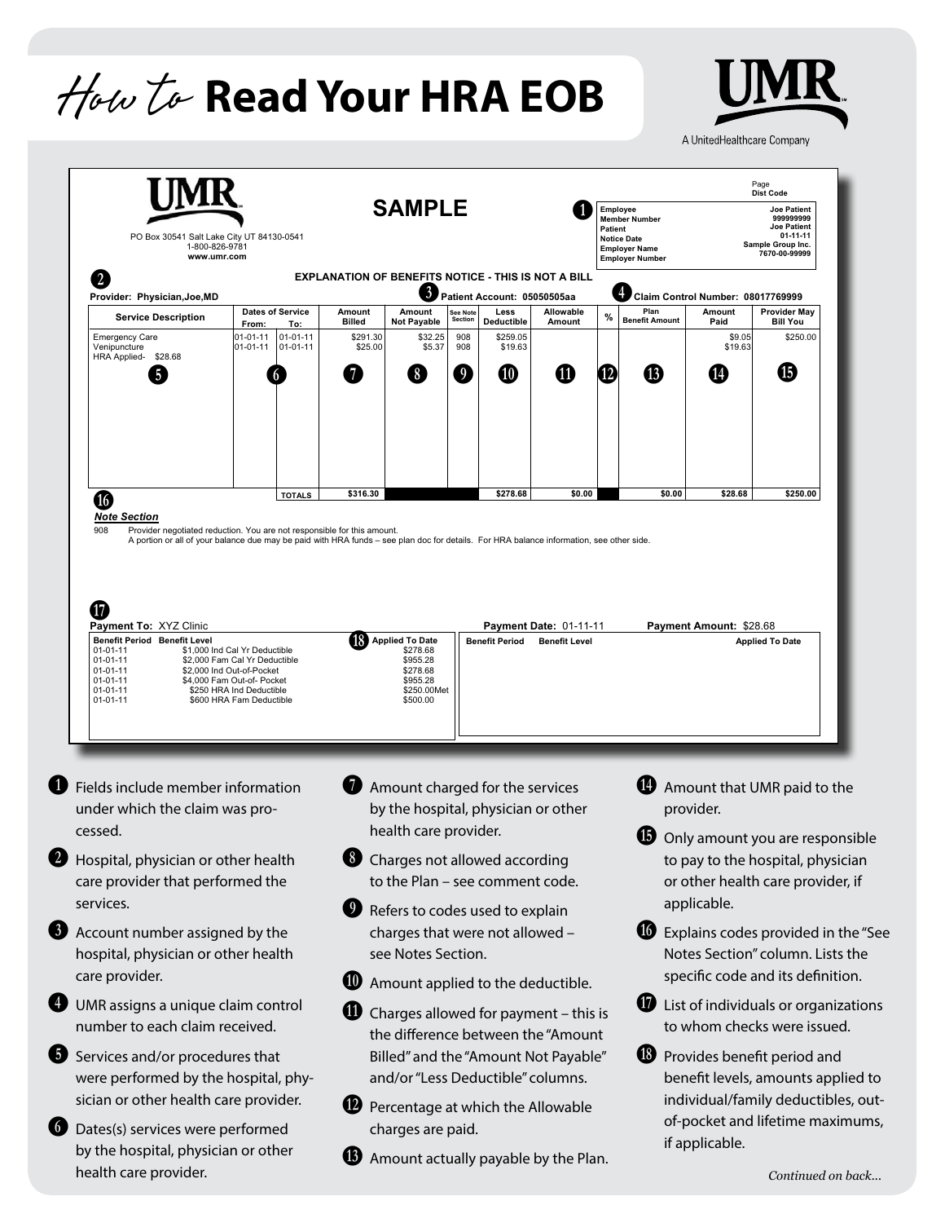# **Read Your HRA EOB** How to



A UnitedHealthcare Company

|                                                                                                                                                                                                                                                                                                                                                                | <b>SAMPLE</b><br>PO Box 30541 Salt Lake City UT 84130-0541<br>1-800-826-9781<br>www.umr.com                                                           |                       |                              |                                                                                          |                         |                                     |                                                                                                                  |                   | <b>Dist Code</b><br><b>Employee</b><br><b>Joe Patient</b><br>999999999<br><b>Member Number</b><br><b>Joe Patient</b><br><b>Patient</b><br>01-11-11<br><b>Notice Date</b><br>Sample Group Inc.<br><b>Employer Name</b><br>7670-00-99999<br><b>Employer Number</b> |                                             |                                                                                                           |  |
|----------------------------------------------------------------------------------------------------------------------------------------------------------------------------------------------------------------------------------------------------------------------------------------------------------------------------------------------------------------|-------------------------------------------------------------------------------------------------------------------------------------------------------|-----------------------|------------------------------|------------------------------------------------------------------------------------------|-------------------------|-------------------------------------|------------------------------------------------------------------------------------------------------------------|-------------------|------------------------------------------------------------------------------------------------------------------------------------------------------------------------------------------------------------------------------------------------------------------|---------------------------------------------|-----------------------------------------------------------------------------------------------------------|--|
| $\mathbf{z}$                                                                                                                                                                                                                                                                                                                                                   |                                                                                                                                                       |                       |                              | EXPLANATION OF BENEFITS NOTICE - THIS IS NOT A BILL                                      |                         |                                     |                                                                                                                  |                   |                                                                                                                                                                                                                                                                  |                                             |                                                                                                           |  |
| Provider: Physician, Joe, MD                                                                                                                                                                                                                                                                                                                                   | <b>Dates of Service</b>                                                                                                                               |                       | Amount                       | $\mathbf{3}$<br>Amount                                                                   | See Note                | Patient Account: 05050505aa<br>Less | Allowable                                                                                                        |                   | Plan                                                                                                                                                                                                                                                             | Claim Control Number: 08017769999<br>Amount | <b>Provider May</b>                                                                                       |  |
| <b>Service Description</b><br><b>Emergency Care</b>                                                                                                                                                                                                                                                                                                            | From:<br>01-01-11                                                                                                                                     | To:<br>$01 - 01 - 11$ | Billed<br>\$291.30           | <b>Not Payable</b><br>\$32.25                                                            | <b>Section</b><br>908   | Deductible<br>\$259.05              | Amount                                                                                                           | ℅                 | <b>Benefit Amount</b>                                                                                                                                                                                                                                            | Paid<br>\$9.05                              | <b>Bill You</b><br>\$250.00                                                                               |  |
| Venipuncture<br>HRA Applied- \$28.68                                                                                                                                                                                                                                                                                                                           | 01-01-11                                                                                                                                              | $01 - 01 - 11$        | \$25.00                      | \$5.37                                                                                   | 908                     | \$19.63                             |                                                                                                                  |                   |                                                                                                                                                                                                                                                                  | \$19.63                                     |                                                                                                           |  |
| 5                                                                                                                                                                                                                                                                                                                                                              |                                                                                                                                                       |                       | 7                            | $\left( 8\right)$                                                                        | $\overline{\mathbf{9}}$ | $\bf \Phi$                          | ⑪                                                                                                                | $\left(12\right)$ | ⊕                                                                                                                                                                                                                                                                | Ø                                           | ₲                                                                                                         |  |
| $\bm \Phi$                                                                                                                                                                                                                                                                                                                                                     |                                                                                                                                                       | <b>TOTALS</b>         | \$316.30                     |                                                                                          |                         | \$278.68                            | \$0.00                                                                                                           |                   | \$0.00                                                                                                                                                                                                                                                           | \$28.68                                     | \$250.00                                                                                                  |  |
| 908<br>Provider negotiated reduction. You are not responsible for this amount.<br>A portion or all of your balance due may be paid with HRA funds - see plan doc for details. For HRA balance information, see other side.                                                                                                                                     |                                                                                                                                                       |                       |                              |                                                                                          |                         |                                     |                                                                                                                  |                   |                                                                                                                                                                                                                                                                  |                                             |                                                                                                           |  |
| <b>Benefit Period Benefit Level</b><br>$01 - 01 - 11$<br>$01 - 01 - 11$<br>$01 - 01 - 11$<br>01-01-11<br>$01 - 01 - 11$<br>$01 - 01 - 11$                                                                                                                                                                                                                      | \$1,000 Ind Cal Yr Deductible<br>\$2,000 Fam Cal Yr Deductible<br>\$2,000 Ind Out-of-Pocket<br>\$4,000 Fam Out-of- Pocket<br>\$250 HRA Ind Deductible |                       | (18)                         | <b>Applied To Date</b><br>\$278.68<br>\$955.28<br>\$278.68<br>\$955.28                   |                         | <b>Benefit Period</b>               | <b>Benefit Level</b>                                                                                             |                   |                                                                                                                                                                                                                                                                  |                                             | <b>Applied To Date</b>                                                                                    |  |
| Fields include member information                                                                                                                                                                                                                                                                                                                              | \$600 HRA Fam Deductible                                                                                                                              |                       |                              | \$250.00Met<br>\$500.00<br>Amount charged for the services                               |                         |                                     |                                                                                                                  |                   |                                                                                                                                                                                                                                                                  |                                             | Amount that UMR paid to the                                                                               |  |
| under which the claim was pro-<br>cessed.                                                                                                                                                                                                                                                                                                                      |                                                                                                                                                       |                       |                              | by the hospital, physician or other<br>health care provider.                             |                         |                                     |                                                                                                                  |                   |                                                                                                                                                                                                                                                                  | provider.                                   |                                                                                                           |  |
| Hospital, physician or other health<br>care provider that performed the<br>services.                                                                                                                                                                                                                                                                           |                                                                                                                                                       |                       | 8 <sup>1</sup><br>Ø          | Charges not allowed according<br>to the Plan - see comment code.                         |                         |                                     |                                                                                                                  |                   | (Ŗ                                                                                                                                                                                                                                                               | applicable.                                 | Only amount you are responsible<br>to pay to the hospital, physician<br>or other health care provider, if |  |
|                                                                                                                                                                                                                                                                                                                                                                |                                                                                                                                                       |                       |                              | Refers to codes used to explain<br>charges that were not allowed -<br>see Notes Section. |                         |                                     |                                                                                                                  |                   | $\boldsymbol{\omega}$                                                                                                                                                                                                                                            |                                             | Explains codes provided in the "See<br>Notes Section" column. Lists the                                   |  |
|                                                                                                                                                                                                                                                                                                                                                                |                                                                                                                                                       |                       | $\mathbf{C}$<br>W            |                                                                                          |                         |                                     | Amount applied to the deductible.<br>Charges allowed for payment - this is<br>the difference between the "Amount |                   |                                                                                                                                                                                                                                                                  |                                             | specific code and its definition.<br>List of individuals or organizations<br>to whom checks were issued.  |  |
|                                                                                                                                                                                                                                                                                                                                                                |                                                                                                                                                       |                       |                              | and/or "Less Deductible" columns.                                                        |                         |                                     | Billed" and the "Amount Not Payable"                                                                             |                   | $\bigcirc$                                                                                                                                                                                                                                                       |                                             | Provides benefit period and<br>benefit levels, amounts applied to                                         |  |
| Account number assigned by the<br>hospital, physician or other health<br>care provider.<br>UMR assigns a unique claim control<br>number to each claim received.<br>Services and/or procedures that<br>were performed by the hospital, phy-<br>sician or other health care provider.<br>Dates(s) services were performed<br>by the hospital, physician or other |                                                                                                                                                       |                       | $\mathbf{D}$<br>$\mathbf{B}$ | charges are paid.                                                                        |                         |                                     | Percentage at which the Allowable<br>Amount actually payable by the Plan.                                        |                   |                                                                                                                                                                                                                                                                  | if applicable.                              | individual/family deductibles, out-<br>of-pocket and lifetime maximums,                                   |  |